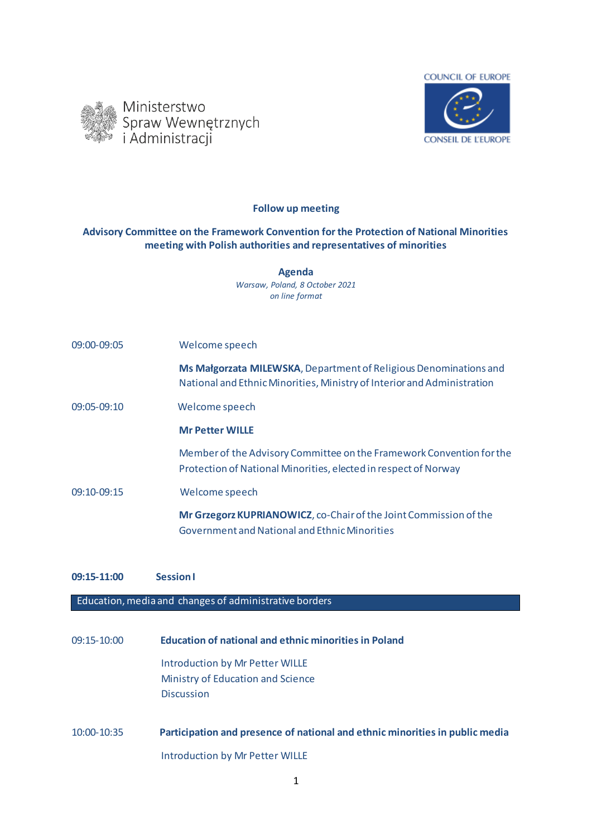



**Follow up meeting** 

## **Advisory Committee on the Framework Convention for the Protection of National Minorities meeting with Polish authorities and representatives of minorities**

**Agenda** *Warsaw, Poland, 8 October 2021 on line format*

| 09:00-09:05   | Welcome speech                                                                                                                               |
|---------------|----------------------------------------------------------------------------------------------------------------------------------------------|
|               | Ms Małgorzata MILEWSKA, Department of Religious Denominations and<br>National and Ethnic Minorities, Ministry of Interior and Administration |
| $09:05-09:10$ | Welcome speech                                                                                                                               |
|               | <b>Mr Petter WILLE</b>                                                                                                                       |
|               | Member of the Advisory Committee on the Framework Convention for the<br>Protection of National Minorities, elected in respect of Norway      |
| 09:10-09:15   | Welcome speech                                                                                                                               |
|               | Mr Grzegorz KUPRIANOWICZ, co-Chair of the Joint Commission of the<br>Government and National and Ethnic Minorities                           |

## **09:15-11:00 Session I**

Education, media and changes of administrative borders

09:15-10:00 **Education of national and ethnic minorities in Poland** Introduction by Mr Petter WILLE Ministry of Education and Science Discussion

10:00-10:35 **Participation and presence of national and ethnic minorities in public media** Introduction by Mr Petter WILLE